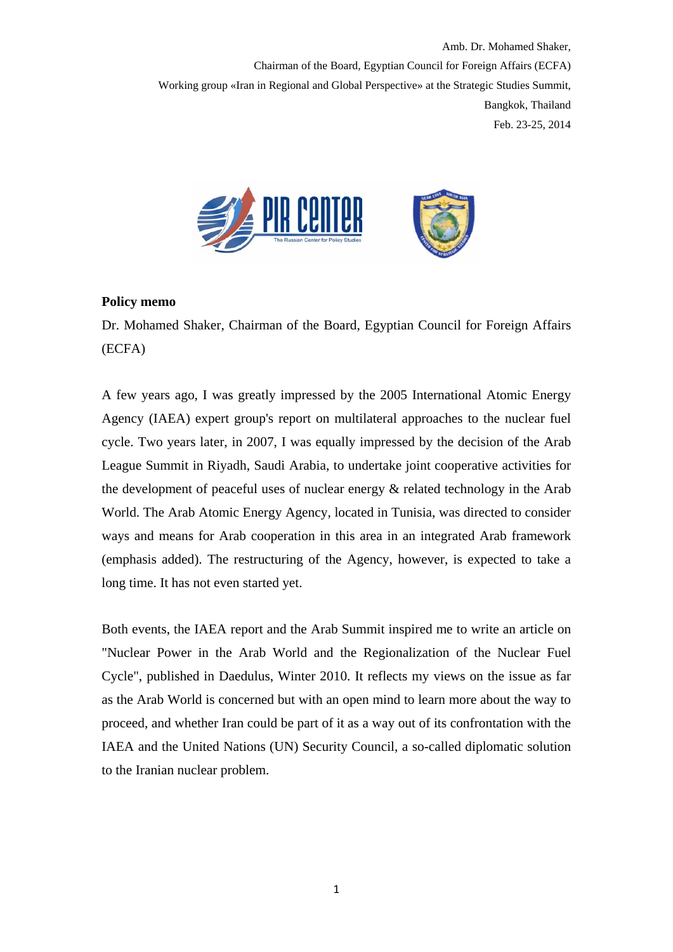Amb. Dr. Mohamed Shaker, Chairman of the Board, Egyptian Council for Foreign Affairs (ECFA) Working group «Iran in Regional and Global Perspective» at the Strategic Studies Summit, Bangkok, Thailand Feb. 23-25, 2014



## **Policy memo**

Dr. Mohamed Shaker, Chairman of the Board, Egyptian Council for Foreign Affairs (ECFA)

A few years ago, I was greatly impressed by the 2005 International Atomic Energy Agency (IAEA) expert group's report on multilateral approaches to the nuclear fuel cycle. Two years later, in 2007, I was equally impressed by the decision of the Arab League Summit in Riyadh, Saudi Arabia, to undertake joint cooperative activities for the development of peaceful uses of nuclear energy & related technology in the Arab World. The Arab Atomic Energy Agency, located in Tunisia, was directed to consider ways and means for Arab cooperation in this area in an integrated Arab framework (emphasis added). The restructuring of the Agency, however, is expected to take a long time. It has not even started yet.

Both events, the IAEA report and the Arab Summit inspired me to write an article on "Nuclear Power in the Arab World and the Regionalization of the Nuclear Fuel Cycle", published in Daedulus, Winter 2010. It reflects my views on the issue as far as the Arab World is concerned but with an open mind to learn more about the way to proceed, and whether Iran could be part of it as a way out of its confrontation with the IAEA and the United Nations (UN) Security Council, a so-called diplomatic solution to the Iranian nuclear problem.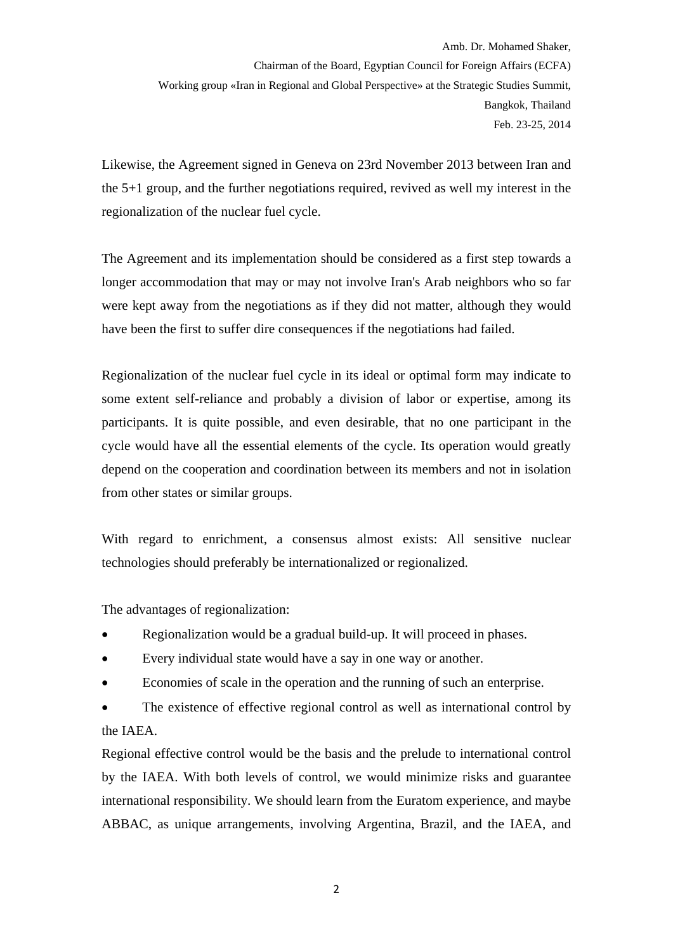Amb. Dr. Mohamed Shaker, Chairman of the Board, Egyptian Council for Foreign Affairs (ECFA) Working group «Iran in Regional and Global Perspective» at the Strategic Studies Summit, Bangkok, Thailand Feb. 23-25, 2014

Likewise, the Agreement signed in Geneva on 23rd November 2013 between Iran and the 5+1 group, and the further negotiations required, revived as well my interest in the regionalization of the nuclear fuel cycle.

The Agreement and its implementation should be considered as a first step towards a longer accommodation that may or may not involve Iran's Arab neighbors who so far were kept away from the negotiations as if they did not matter, although they would have been the first to suffer dire consequences if the negotiations had failed.

Regionalization of the nuclear fuel cycle in its ideal or optimal form may indicate to some extent self-reliance and probably a division of labor or expertise, among its participants. It is quite possible, and even desirable, that no one participant in the cycle would have all the essential elements of the cycle. Its operation would greatly depend on the cooperation and coordination between its members and not in isolation from other states or similar groups.

With regard to enrichment, a consensus almost exists: All sensitive nuclear technologies should preferably be internationalized or regionalized.

The advantages of regionalization:

- Regionalization would be a gradual build-up. It will proceed in phases.
- Every individual state would have a say in one way or another.
- Economies of scale in the operation and the running of such an enterprise.

• The existence of effective regional control as well as international control by the IAEA.

Regional effective control would be the basis and the prelude to international control by the IAEA. With both levels of control, we would minimize risks and guarantee international responsibility. We should learn from the Euratom experience, and maybe ABBAC, as unique arrangements, involving Argentina, Brazil, and the IAEA, and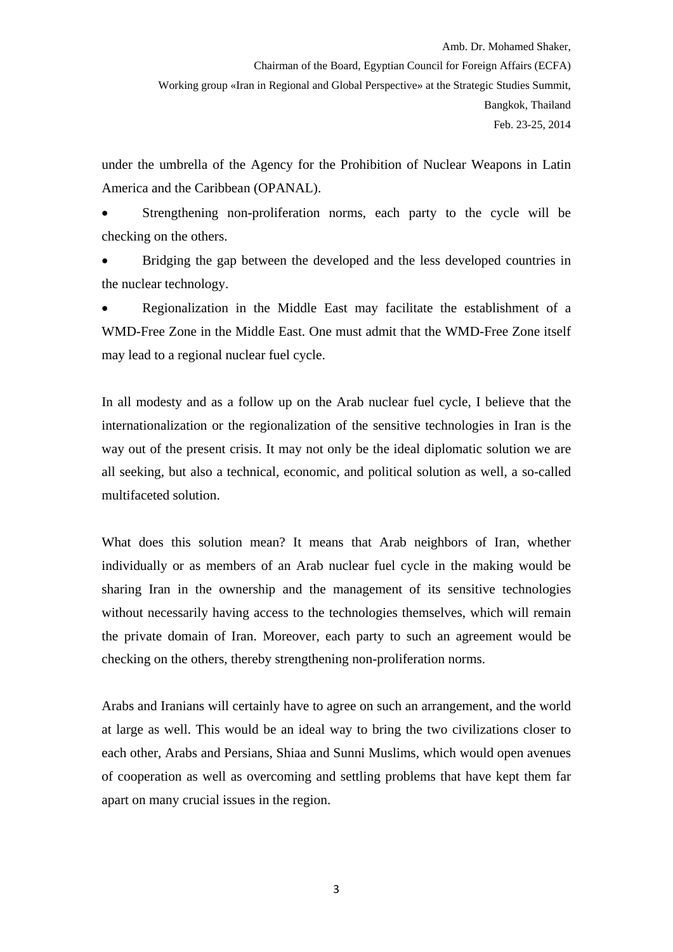Chairman of the Board, Egyptian Council for Foreign Affairs (ECFA) Working group «Iran in Regional and Global Perspective» at the Strategic Studies Summit, Bangkok, Thailand Feb. 23-25, 2014

under the umbrella of the Agency for the Prohibition of Nuclear Weapons in Latin America and the Caribbean (OPANAL).

Strengthening non-proliferation norms, each party to the cycle will be checking on the others.

• Bridging the gap between the developed and the less developed countries in the nuclear technology.

• Regionalization in the Middle East may facilitate the establishment of a WMD-Free Zone in the Middle East. One must admit that the WMD-Free Zone itself may lead to a regional nuclear fuel cycle.

In all modesty and as a follow up on the Arab nuclear fuel cycle, I believe that the internationalization or the regionalization of the sensitive technologies in Iran is the way out of the present crisis. It may not only be the ideal diplomatic solution we are all seeking, but also a technical, economic, and political solution as well, a so-called multifaceted solution.

What does this solution mean? It means that Arab neighbors of Iran, whether individually or as members of an Arab nuclear fuel cycle in the making would be sharing Iran in the ownership and the management of its sensitive technologies without necessarily having access to the technologies themselves, which will remain the private domain of Iran. Moreover, each party to such an agreement would be checking on the others, thereby strengthening non-proliferation norms.

Arabs and Iranians will certainly have to agree on such an arrangement, and the world at large as well. This would be an ideal way to bring the two civilizations closer to each other, Arabs and Persians, Shiaa and Sunni Muslims, which would open avenues of cooperation as well as overcoming and settling problems that have kept them far apart on many crucial issues in the region.